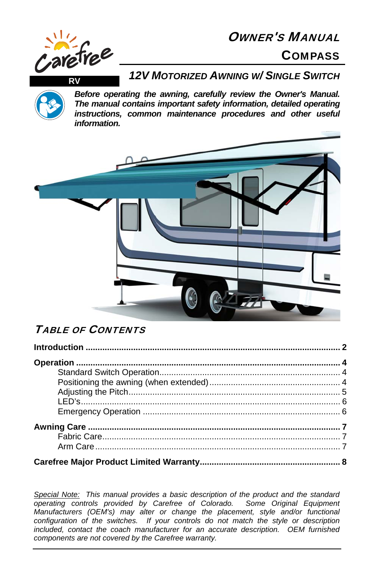## OWNER'S MANUAL







*Before operating the awning, carefully review the Owner's Manual. The manual contains important safety information, detailed operating instructions, common maintenance procedures and other useful information.*



## TABLE OF CONTENTS

*Special Note: This manual provides a basic description of the product and the standard operating controls provided by Carefree of Colorado. Some Original Equipment Manufacturers (OEM's) may alter or change the placement, style and/or functional configuration of the switches. If your controls do not match the style or description included, contact the coach manufacturer for an accurate description. OEM furnished components are not covered by the Carefree warranty.*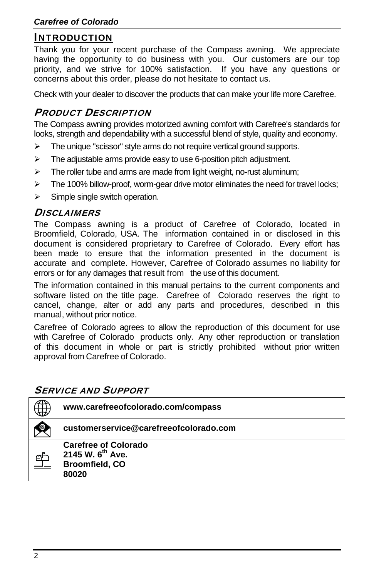### INTRODUCTION

Thank you for your recent purchase of the Compass awning. We appreciate having the opportunity to do business with you. Our customers are our top priority, and we strive for 100% satisfaction. If you have any questions or concerns about this order, please do not hesitate to contact us.

Check with your dealer to discover the products that can make your life more Carefree.

### PRODUCT DESCRIPTION

The Compass awning provides motorized awning comfort with Carefree's standards for looks, strength and dependability with a successful blend of style, quality and economy.

- $\triangleright$  The unique "scissor" style arms do not require vertical ground supports.
- $\triangleright$  The adjustable arms provide easy to use 6-position pitch adjustment.
- $\triangleright$  The roller tube and arms are made from light weight, no-rust aluminum;
- $\triangleright$  The 100% billow-proof, worm-gear drive motor eliminates the need for travel locks:
- $\triangleright$  Simple single switch operation.

#### DISCI AIMERS

The Compass awning is a product of Carefree of Colorado, located in Broomfield, Colorado, USA. The information contained in or disclosed in this document is considered proprietary to Carefree of Colorado. Every effort has been made to ensure that the information presented in the document is accurate and complete. However, Carefree of Colorado assumes no liability for errors or for any damages that result from the use of this document.

The information contained in this manual pertains to the current components and software listed on the title page. Carefree of Colorado reserves the right to cancel, change, alter or add any parts and procedures, described in this manual, without prior notice.

Carefree of Colorado agrees to allow the reproduction of this document for use with Carefree of Colorado products only. Any other reproduction or translation of this document in whole or part is strictly prohibited without prior written approval from Carefree of Colorado.

#### SERVICE AND SUPPORT

|    | www.carefreeofcolorado.com/compass                                                            |
|----|-----------------------------------------------------------------------------------------------|
|    | customerservice@carefreeofcolorado.com                                                        |
| ∩' | <b>Carefree of Colorado</b><br>2145 W. 6 <sup>th</sup> Ave.<br><b>Broomfield, CO</b><br>80020 |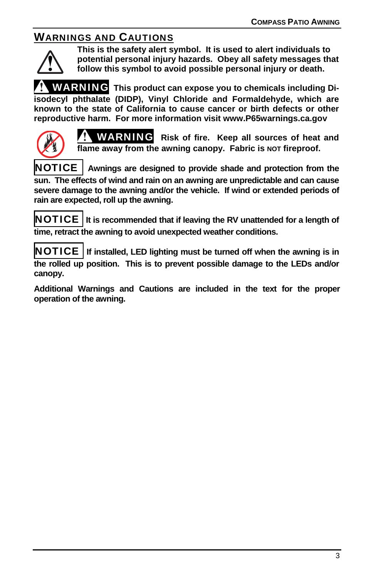# WARNINGS AND CAUTIONS



**This is the safety alert symbol. It is used to alert individuals to potential personal injury hazards. Obey all safety messages that follow this symbol to avoid possible personal injury or death.** 

WARNING **This product can expose you to chemicals including Diisodecyl phthalate (DIDP), Vinyl Chloride and Formaldehyde, which are known to the state of California to cause cancer or birth defects or other reproductive harm. For more information visit www.P65warnings.ca.gov** 



WARNING **Risk of fire. Keep all sources of heat and**  flame away from the awning canopy. Fabric is **NOT** fireproof.

NOTICE **Awnings are designed to provide shade and protection from the sun. The effects of wind and rain on an awning are unpredictable and can cause severe damage to the awning and/or the vehicle. If wind or extended periods of rain are expected, roll up the awning.**

NOTICE **It is recommended that if leaving the RV unattended for a length of time, retract the awning to avoid unexpected weather conditions.** 

NOTICE **If installed, LED lighting must be turned off when the awning is in the rolled up position. This is to prevent possible damage to the LEDs and/or canopy.** 

**Additional Warnings and Cautions are included in the text for the proper operation of the awning.**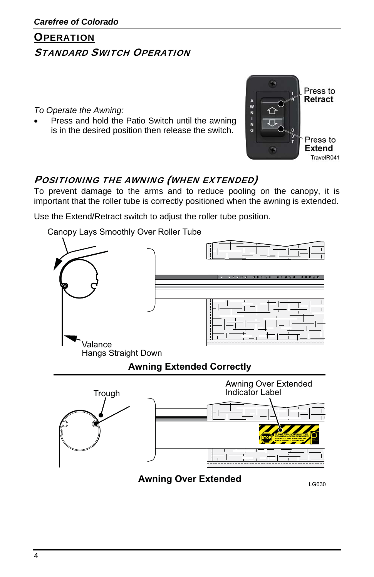# **OPERATION** STANDARD SWITCH OPERATION

*To Operate the Awning:* 

 Press and hold the Patio Switch until the awning is in the desired position then release the switch.



# POSITIONING THE AWNING (WHEN EXTENDED)

To prevent damage to the arms and to reduce pooling on the canopy, it is important that the roller tube is correctly positioned when the awning is extended.

Use the Extend/Retract switch to adjust the roller tube position.

Canopy Lays Smoothly Over Roller Tube

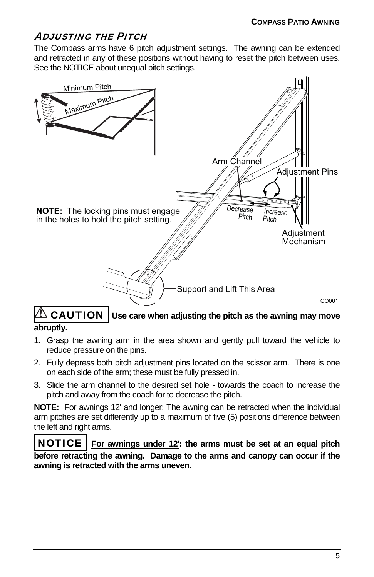### ADJUSTING THE PITCH

The Compass arms have 6 pitch adjustment settings. The awning can be extended and retracted in any of these positions without having to reset the pitch between uses. See the NOTICE about unequal pitch settings.



### $\mathbin{\textcircled{\textsc{i}}}$  CAUTION  $|$  Use care when adjusting the pitch as the awning may move **abruptly.**

- 1. Grasp the awning arm in the area shown and gently pull toward the vehicle to reduce pressure on the pins.
- 2. Fully depress both pitch adjustment pins located on the scissor arm. There is one on each side of the arm; these must be fully pressed in.
- 3. Slide the arm channel to the desired set hole towards the coach to increase the pitch and away from the coach for to decrease the pitch.

**NOTE:** For awnings 12' and longer: The awning can be retracted when the individual arm pitches are set differently up to a maximum of five (5) positions difference between the left and right arms.

NOTICE **For awnings under 12': the arms must be set at an equal pitch before retracting the awning. Damage to the arms and canopy can occur if the awning is retracted with the arms uneven.**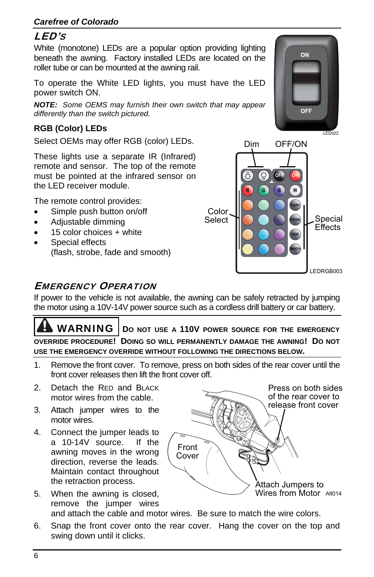## LED'S

White (monotone) LEDs are a popular option providing lighting beneath the awning. Factory installed LEDs are located on the roller tube or can be mounted at the awning rail.

To operate the White LED lights, you must have the LED power switch ON.

*NOTE: Some OEMS may furnish their own switch that may appear differently than the switch pictured.* 

### **RGB (Color) LEDs**

Select OEMs may offer RGB (color) LEDs.

These lights use a separate IR (Infrared) remote and sensor. The top of the remote must be pointed at the infrared sensor on the LED receiver module.

The remote control provides:

- Simple push button on/off
- Adjustable dimming
- 15 color choices + white
- Special effects (flash, strobe, fade and smooth)



## EMERGENCY OPERATION

If power to the vehicle is not available, the awning can be safely retracted by jumping the motor using a 10V-14V power source such as a cordless drill battery or car battery.

**WARNING** | DO NOT USE A 110V POWER SOURCE FOR THE EMERGENCY **OVERRIDE PROCEDURE! DOING SO WILL PERMANENTLY DAMAGE THE AWNING! DO NOT USE THE EMERGENCY OVERRIDE WITHOUT FOLLOWING THE DIRECTIONS BELOW.** 

1. Remove the front cover. To remove, press on both sides of the rear cover until the front cover releases then lift the front cover off.

> Front Cover

- 2. Detach the RED and BLACK motor wires from the cable.
- 3. Attach jumper wires to the motor wires.
- 4. Connect the jumper leads to a 10-14V source. If the awning moves in the wrong direction, reverse the leads. Maintain contact throughout the retraction process.
- 5. When the awning is closed, remove the jumper wires and attach the cable and motor wires. Be sure to match the wire colors. Attach Jumpers to Wires from Motor Alt014
- 6. Snap the front cover onto the rear cover. Hang the cover on the top and swing down until it clicks.



Press on both sides of the rear cover to release front cover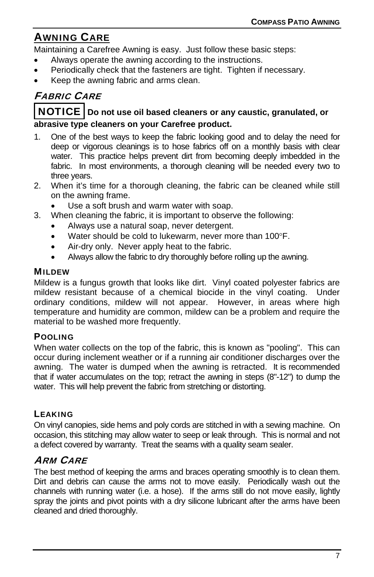# AWNING CARE

Maintaining a Carefree Awning is easy. Just follow these basic steps:

- Always operate the awning according to the instructions.
- Periodically check that the fasteners are tight. Tighten if necessary.
- Keep the awning fabric and arms clean.

# FABRIC CARE

### NOTICE **Do not use oil based cleaners or any caustic, granulated, or abrasive type cleaners on your Carefree product.**

- 1. One of the best ways to keep the fabric looking good and to delay the need for deep or vigorous cleanings is to hose fabrics off on a monthly basis with clear water. This practice helps prevent dirt from becoming deeply imbedded in the fabric. In most environments, a thorough cleaning will be needed every two to three years.
- 2. When it's time for a thorough cleaning, the fabric can be cleaned while still on the awning frame.
	- Use a soft brush and warm water with soap.
- 3. When cleaning the fabric, it is important to observe the following:
	- Always use a natural soap, never detergent.
	- Water should be cold to lukewarm, never more than 100°F.
	- Air-dry only. Never apply heat to the fabric.
	- Always allow the fabric to dry thoroughly before rolling up the awning.

#### MILDEW

Mildew is a fungus growth that looks like dirt. Vinyl coated polyester fabrics are mildew resistant because of a chemical biocide in the vinyl coating. Under ordinary conditions, mildew will not appear. However, in areas where high temperature and humidity are common, mildew can be a problem and require the material to be washed more frequently.

#### POOLING

When water collects on the top of the fabric, this is known as "pooling". This can occur during inclement weather or if a running air conditioner discharges over the awning. The water is dumped when the awning is retracted. It is recommended that if water accumulates on the top; retract the awning in steps (8"-12") to dump the water. This will help prevent the fabric from stretching or distorting.

### LEAKING

On vinyl canopies, side hems and poly cords are stitched in with a sewing machine. On occasion, this stitching may allow water to seep or leak through. This is normal and not a defect covered by warranty. Treat the seams with a quality seam sealer.

### ARM CARE

The best method of keeping the arms and braces operating smoothly is to clean them. Dirt and debris can cause the arms not to move easily. Periodically wash out the channels with running water (i.e. a hose). If the arms still do not move easily, lightly spray the joints and pivot points with a dry silicone lubricant after the arms have been cleaned and dried thoroughly.